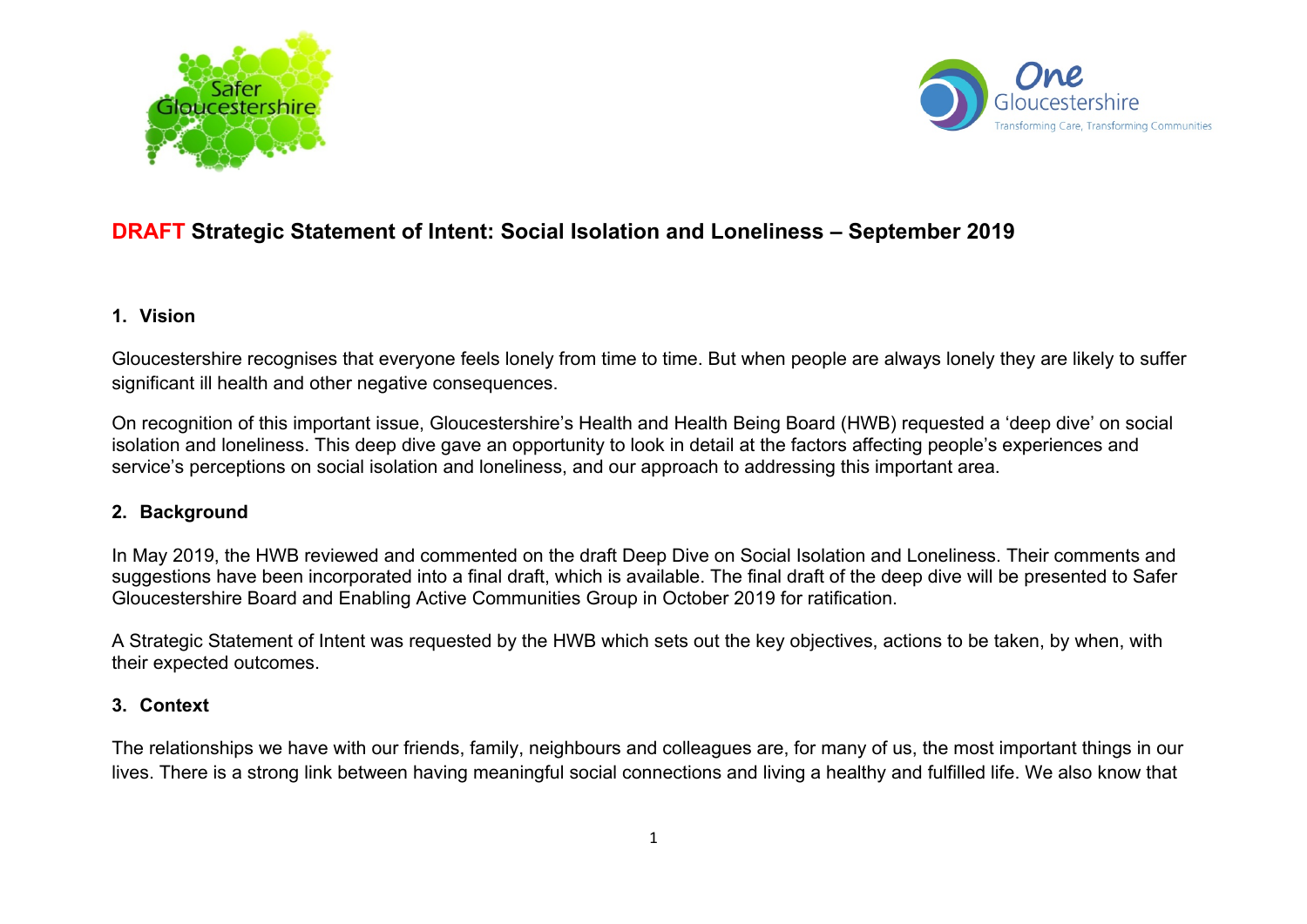



## **DRAFT Strategic Statement of Intent: Social Isolation and Loneliness – September 2019**

#### **1. Vision**

Gloucestershire recognises that everyone feels lonely from time to time. But when people are always lonely they are likely to suffer significant ill health and other negative consequences.

On recognition of this important issue, Gloucestershire's Health and Health Being Board (HWB) requested a 'deep dive' on social isolation and loneliness. This deep dive gave an opportunity to look in detail at the factors affecting people's experiences and service's perceptions on social isolation and loneliness, and our approach to addressing this important area.

#### **2. Background**

In May 2019, the HWB reviewed and commented on the draft Deep Dive on Social Isolation and Loneliness. Their comments and suggestions have been incorporated into a final draft, which is available. The final draft of the deep dive will be presented to Safer Gloucestershire Board and Enabling Active Communities Group in October 2019 for ratification.

A Strategic Statement of Intent was requested by the HWB which sets out the key objectives, actions to be taken, by when, with their expected outcomes.

#### **3. Context**

The relationships we have with our friends, family, neighbours and colleagues are, for many of us, the most important things in our lives. There is a strong link between having meaningful social connections and living a healthy and fulfilled life. We also know that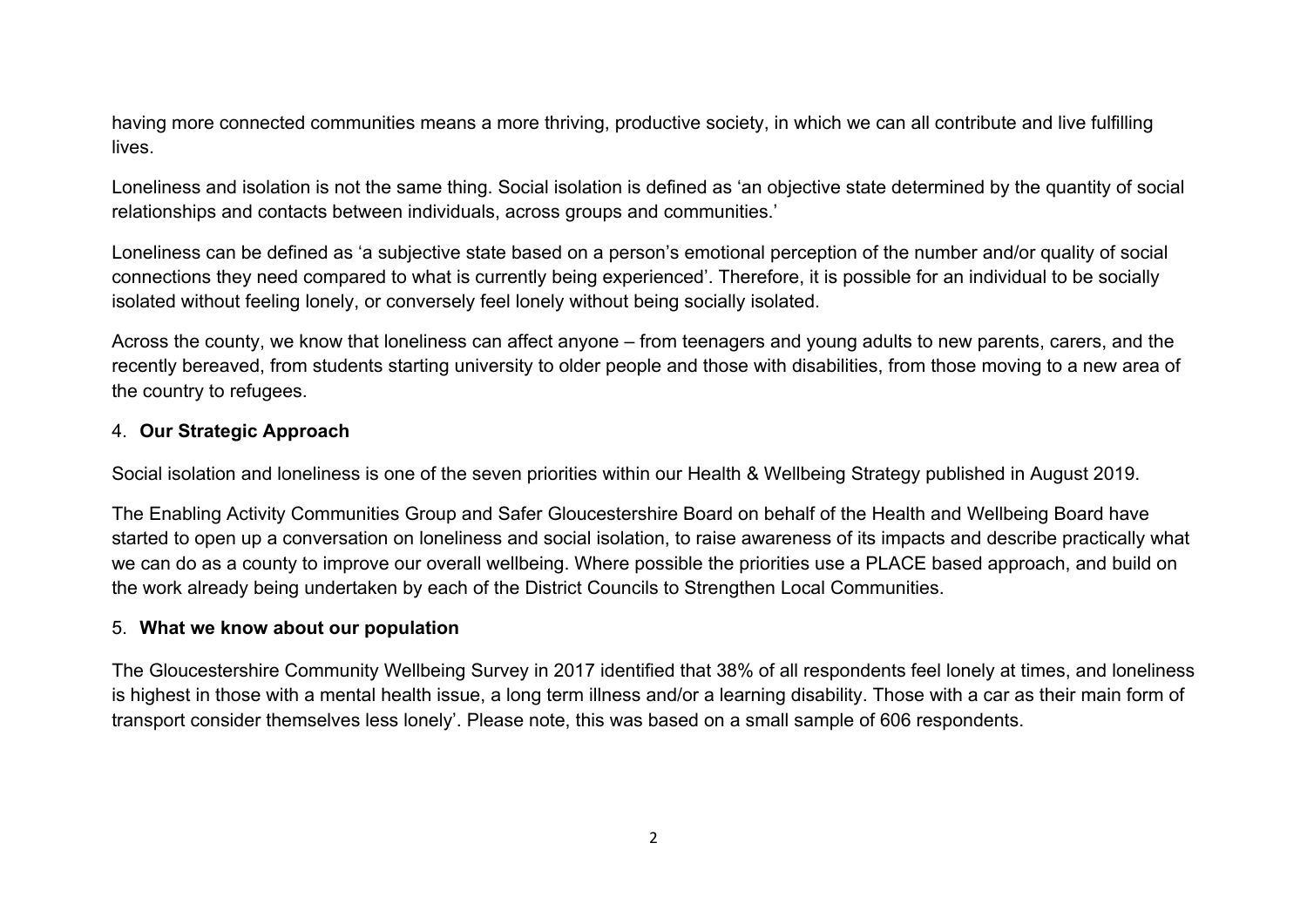having more connected communities means a more thriving, productive society, in which we can all contribute and live fulfilling lives.

Loneliness and isolation is not the same thing. Social isolation is defined as 'an objective state determined by the quantity of social relationships and contacts between individuals, across groups and communities.'

Loneliness can be defined as 'a subjective state based on a person's emotional perception of the number and/or quality of social connections they need compared to what is currently being experienced'. Therefore, it is possible for an individual to be socially isolated without feeling lonely, or conversely feel lonely without being socially isolated.

Across the county, we know that loneliness can affect anyone – from teenagers and young adults to new parents, carers, and the recently bereaved, from students starting university to older people and those with disabilities, from those moving to a new area of the country to refugees.

#### 4. **Our Strategic Approach**

Social isolation and loneliness is one of the seven priorities within our Health & Wellbeing Strategy published in August 2019.

The Enabling Activity Communities Group and Safer Gloucestershire Board on behalf of the Health and Wellbeing Board have started to open up a conversation on loneliness and social isolation, to raise awareness of its impacts and describe practically what we can do as a county to improve our overall wellbeing. Where possible the priorities use a PLACE based approach, and build on the work already being undertaken by each of the District Councils to Strengthen Local Communities.

#### 5. **What we know about our population**

The Gloucestershire Community Wellbeing Survey in 2017 identified that 38% of all respondents feel lonely at times, and loneliness is highest in those with a mental health issue, a long term illness and/or a learning disability. Those with a car as their main form of transport consider themselves less lonely'. Please note, this was based on a small sample of 606 respondents.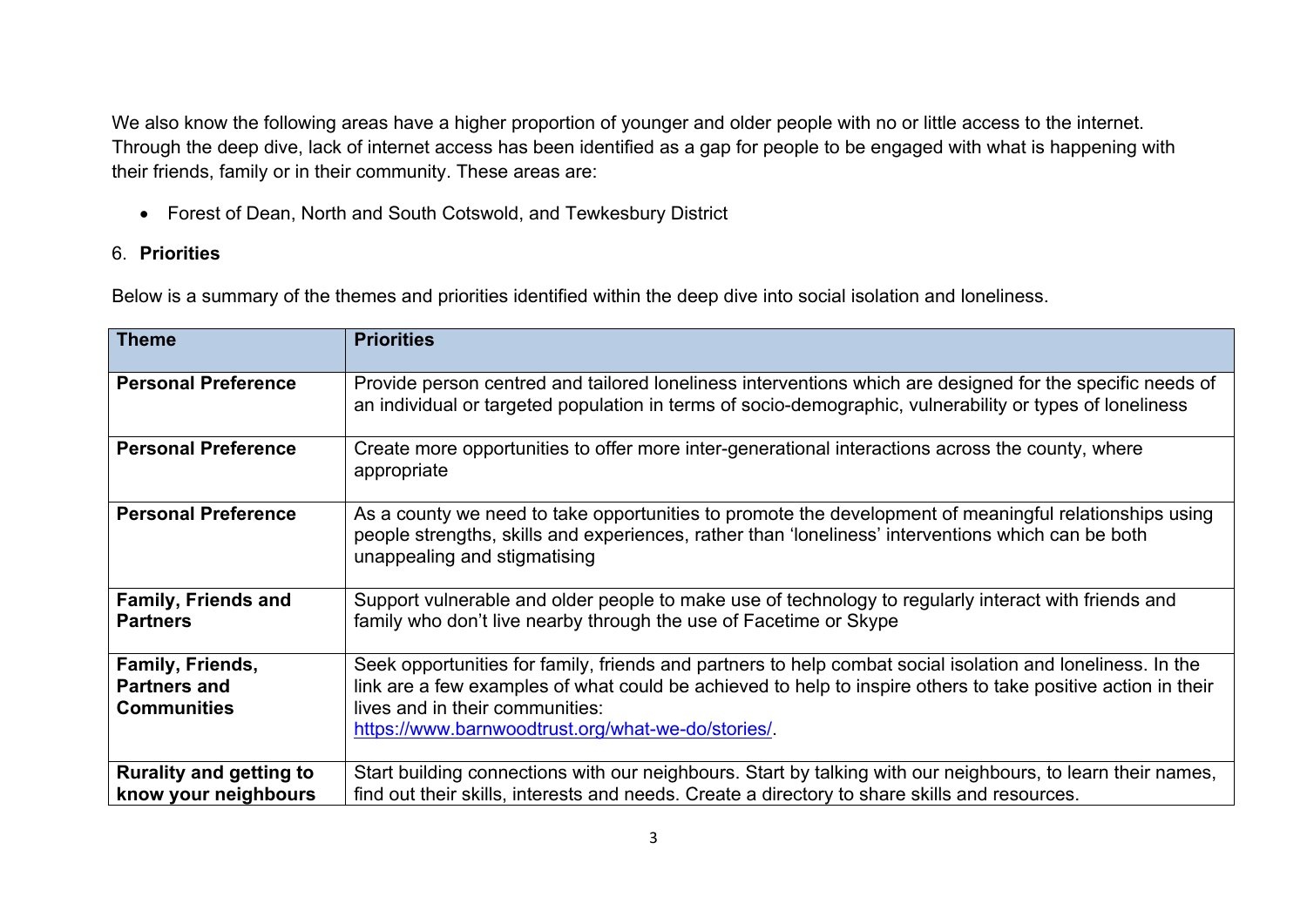We also know the following areas have a higher proportion of younger and older people with no or little access to the internet. Through the deep dive, lack of internet access has been identified as a gap for people to be engaged with what is happening with their friends, family or in their community. These areas are:

Forest of Dean, North and South Cotswold, and Tewkesbury District

### 6. **Priorities**

Below is a summary of the themes and priorities identified within the deep dive into social isolation and loneliness.

| <b>Theme</b>                                                  | <b>Priorities</b>                                                                                                                                                                                                                                                                                                  |
|---------------------------------------------------------------|--------------------------------------------------------------------------------------------------------------------------------------------------------------------------------------------------------------------------------------------------------------------------------------------------------------------|
| <b>Personal Preference</b>                                    | Provide person centred and tailored loneliness interventions which are designed for the specific needs of<br>an individual or targeted population in terms of socio-demographic, vulnerability or types of loneliness                                                                                              |
| <b>Personal Preference</b>                                    | Create more opportunities to offer more inter-generational interactions across the county, where<br>appropriate                                                                                                                                                                                                    |
| <b>Personal Preference</b>                                    | As a county we need to take opportunities to promote the development of meaningful relationships using<br>people strengths, skills and experiences, rather than 'loneliness' interventions which can be both<br>unappealing and stigmatising                                                                       |
| <b>Family, Friends and</b><br><b>Partners</b>                 | Support vulnerable and older people to make use of technology to regularly interact with friends and<br>family who don't live nearby through the use of Facetime or Skype                                                                                                                                          |
| Family, Friends,<br><b>Partners and</b><br><b>Communities</b> | Seek opportunities for family, friends and partners to help combat social isolation and loneliness. In the<br>link are a few examples of what could be achieved to help to inspire others to take positive action in their<br>lives and in their communities:<br>https://www.barnwoodtrust.org/what-we-do/stories/ |
| <b>Rurality and getting to</b><br>know your neighbours        | Start building connections with our neighbours. Start by talking with our neighbours, to learn their names,<br>find out their skills, interests and needs. Create a directory to share skills and resources.                                                                                                       |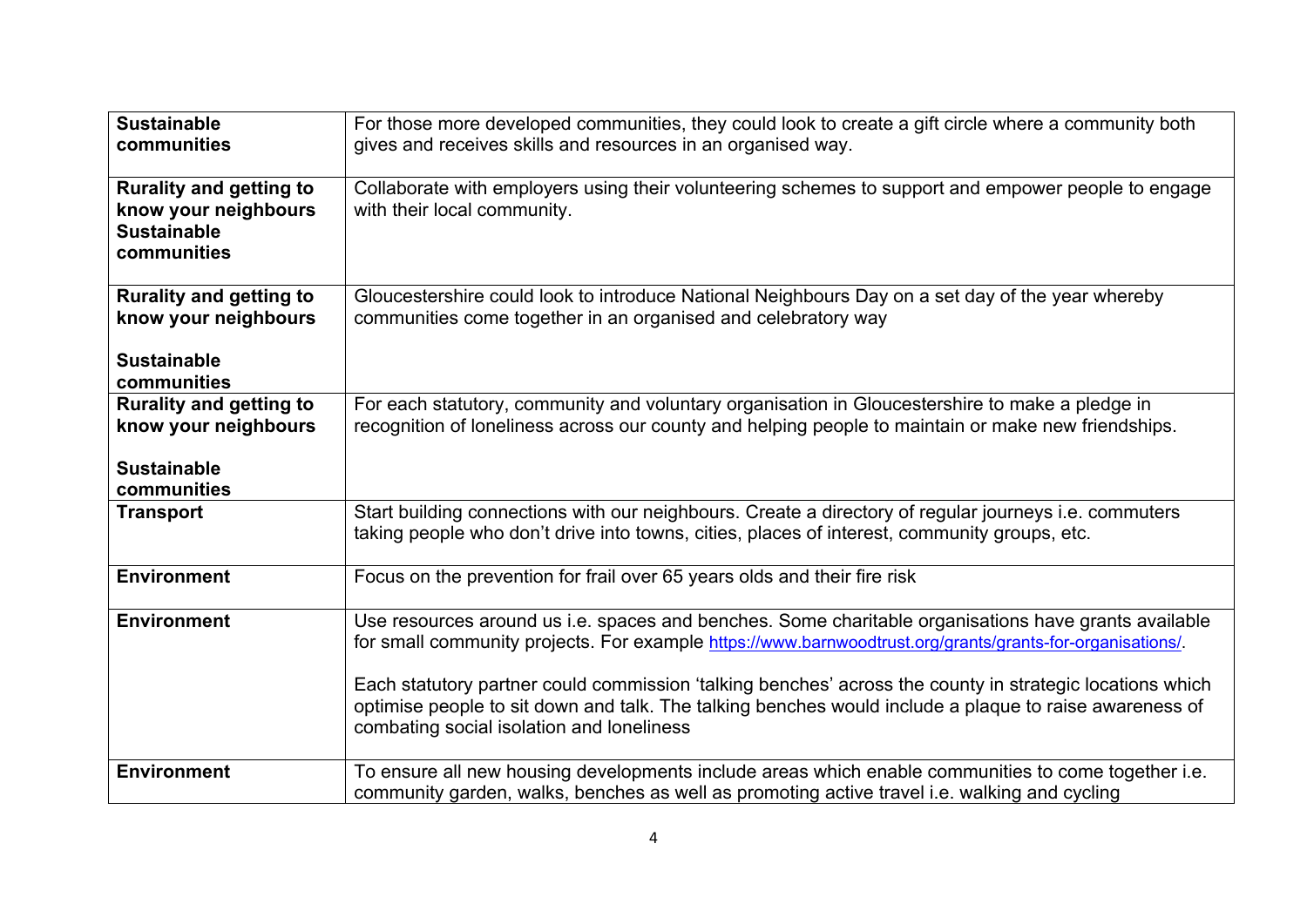| <b>Sustainable</b><br>communities                                                           | For those more developed communities, they could look to create a gift circle where a community both<br>gives and receives skills and resources in an organised way.                                                                                                                                                                                                                                                                                                                 |
|---------------------------------------------------------------------------------------------|--------------------------------------------------------------------------------------------------------------------------------------------------------------------------------------------------------------------------------------------------------------------------------------------------------------------------------------------------------------------------------------------------------------------------------------------------------------------------------------|
| <b>Rurality and getting to</b><br>know your neighbours<br><b>Sustainable</b><br>communities | Collaborate with employers using their volunteering schemes to support and empower people to engage<br>with their local community.                                                                                                                                                                                                                                                                                                                                                   |
| <b>Rurality and getting to</b><br>know your neighbours<br><b>Sustainable</b><br>communities | Gloucestershire could look to introduce National Neighbours Day on a set day of the year whereby<br>communities come together in an organised and celebratory way                                                                                                                                                                                                                                                                                                                    |
| <b>Rurality and getting to</b><br>know your neighbours<br><b>Sustainable</b><br>communities | For each statutory, community and voluntary organisation in Gloucestershire to make a pledge in<br>recognition of loneliness across our county and helping people to maintain or make new friendships.                                                                                                                                                                                                                                                                               |
| <b>Transport</b>                                                                            | Start building connections with our neighbours. Create a directory of regular journeys i.e. commuters<br>taking people who don't drive into towns, cities, places of interest, community groups, etc.                                                                                                                                                                                                                                                                                |
| <b>Environment</b>                                                                          | Focus on the prevention for frail over 65 years olds and their fire risk                                                                                                                                                                                                                                                                                                                                                                                                             |
| <b>Environment</b>                                                                          | Use resources around us i.e. spaces and benches. Some charitable organisations have grants available<br>for small community projects. For example https://www.barnwoodtrust.org/grants/grants-for-organisations/.<br>Each statutory partner could commission 'talking benches' across the county in strategic locations which<br>optimise people to sit down and talk. The talking benches would include a plaque to raise awareness of<br>combating social isolation and loneliness |
| <b>Environment</b>                                                                          | To ensure all new housing developments include areas which enable communities to come together i.e.<br>community garden, walks, benches as well as promoting active travel <i>i.e.</i> walking and cycling                                                                                                                                                                                                                                                                           |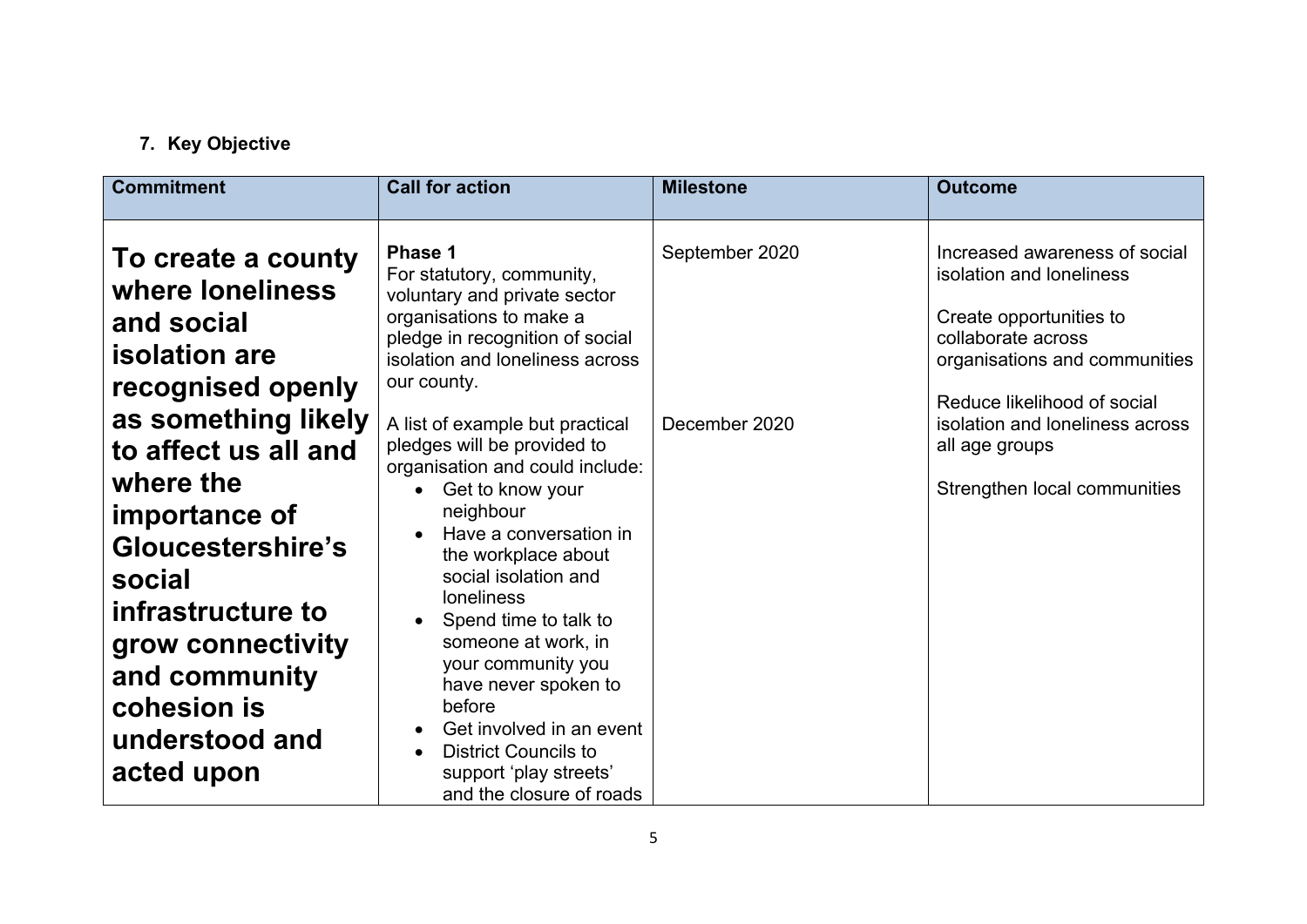# **7. Key Objective**

| <b>Commitment</b>                                                                                                                                                                           | <b>Call for action</b>                                                                                                                                                                                                                                                                                                                                                                                                                           | <b>Milestone</b>                | <b>Outcome</b>                                                                                                                                                                                                |
|---------------------------------------------------------------------------------------------------------------------------------------------------------------------------------------------|--------------------------------------------------------------------------------------------------------------------------------------------------------------------------------------------------------------------------------------------------------------------------------------------------------------------------------------------------------------------------------------------------------------------------------------------------|---------------------------------|---------------------------------------------------------------------------------------------------------------------------------------------------------------------------------------------------------------|
| To create a county<br>where loneliness<br>and social<br><b>isolation</b> are<br>recognised openly<br>as something likely                                                                    | Phase 1<br>For statutory, community,<br>voluntary and private sector<br>organisations to make a<br>pledge in recognition of social<br>isolation and loneliness across<br>our county.<br>A list of example but practical                                                                                                                                                                                                                          | September 2020<br>December 2020 | Increased awareness of social<br>isolation and loneliness<br>Create opportunities to<br>collaborate across<br>organisations and communities<br>Reduce likelihood of social<br>isolation and loneliness across |
| to affect us all and<br>where the<br>importance of<br>Gloucestershire's<br>social<br>infrastructure to<br>grow connectivity<br>and community<br>cohesion is<br>understood and<br>acted upon | pledges will be provided to<br>organisation and could include:<br>Get to know your<br>$\bullet$<br>neighbour<br>Have a conversation in<br>the workplace about<br>social isolation and<br><b>loneliness</b><br>Spend time to talk to<br>someone at work, in<br>your community you<br>have never spoken to<br>before<br>Get involved in an event<br><b>District Councils to</b><br>$\bullet$<br>support 'play streets'<br>and the closure of roads |                                 | all age groups<br>Strengthen local communities                                                                                                                                                                |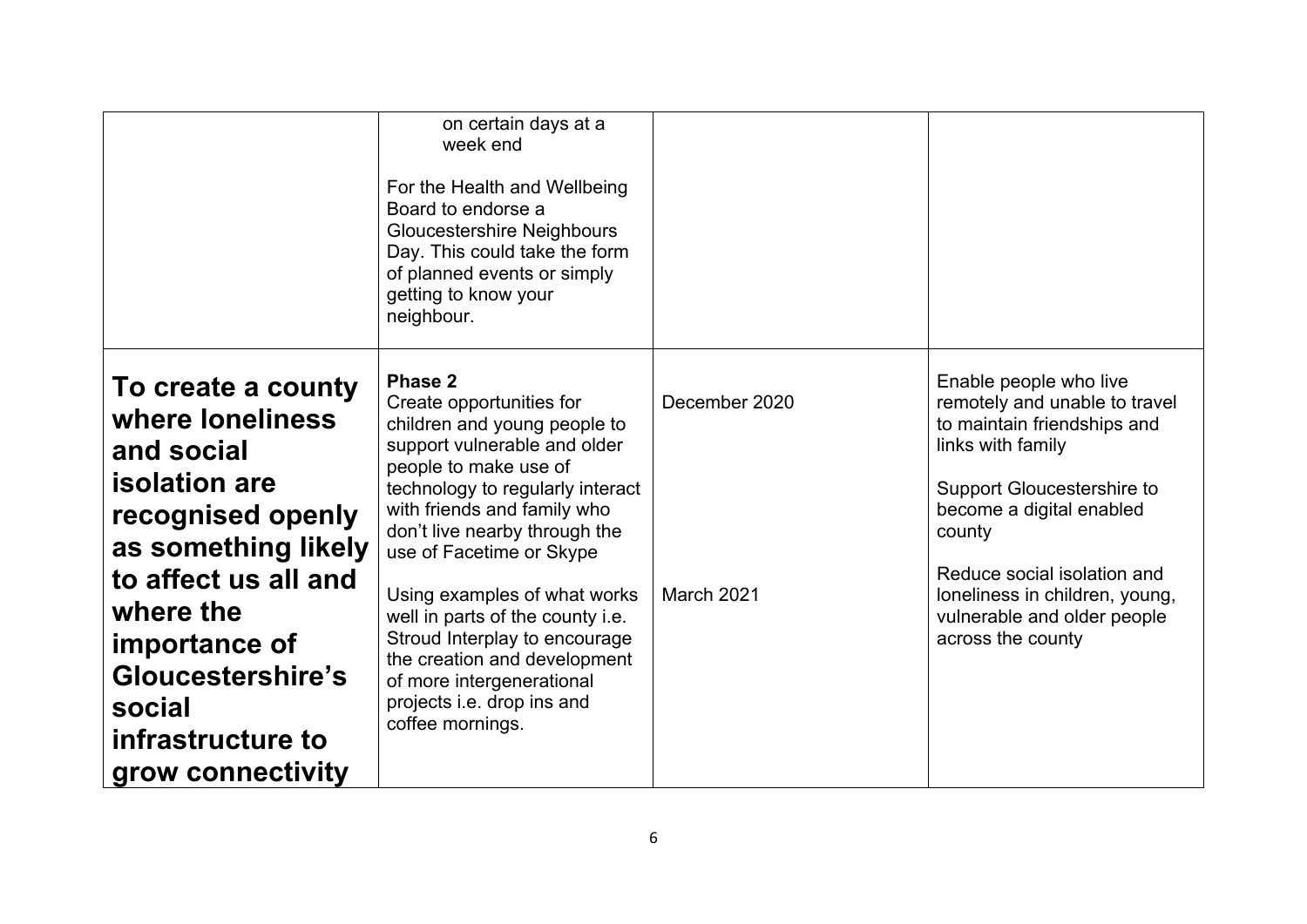|                                                                                                                                                                                                                                                         | on certain days at a<br>week end<br>For the Health and Wellbeing<br>Board to endorse a<br><b>Gloucestershire Neighbours</b><br>Day. This could take the form<br>of planned events or simply<br>getting to know your<br>neighbour.                                                                                                                                                                                                                                                |                             |                                                                                                                                                                                                                                                                                                      |
|---------------------------------------------------------------------------------------------------------------------------------------------------------------------------------------------------------------------------------------------------------|----------------------------------------------------------------------------------------------------------------------------------------------------------------------------------------------------------------------------------------------------------------------------------------------------------------------------------------------------------------------------------------------------------------------------------------------------------------------------------|-----------------------------|------------------------------------------------------------------------------------------------------------------------------------------------------------------------------------------------------------------------------------------------------------------------------------------------------|
| To create a county<br>where loneliness<br>and social<br><b>isolation</b> are<br>recognised openly<br>as something likely<br>to affect us all and<br>where the<br>importance of<br>Gloucestershire's<br>social<br>infrastructure to<br>grow connectivity | Phase 2<br>Create opportunities for<br>children and young people to<br>support vulnerable and older<br>people to make use of<br>technology to regularly interact<br>with friends and family who<br>don't live nearby through the<br>use of Facetime or Skype<br>Using examples of what works<br>well in parts of the county i.e.<br>Stroud Interplay to encourage<br>the creation and development<br>of more intergenerational<br>projects i.e. drop ins and<br>coffee mornings. | December 2020<br>March 2021 | Enable people who live<br>remotely and unable to travel<br>to maintain friendships and<br>links with family<br>Support Gloucestershire to<br>become a digital enabled<br>county<br>Reduce social isolation and<br>loneliness in children, young,<br>vulnerable and older people<br>across the county |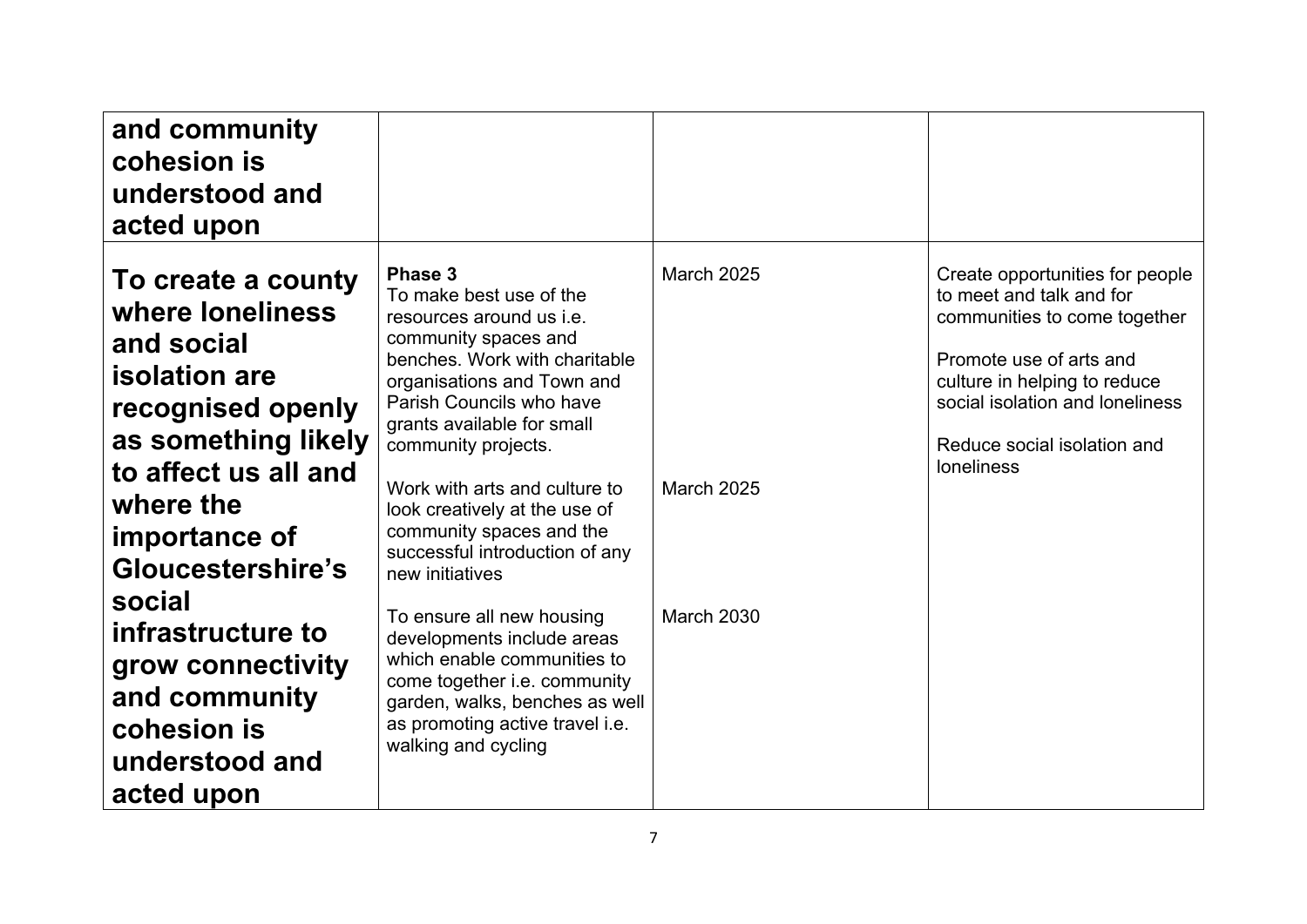| and community<br>cohesion is<br>understood and<br>acted upon                                                                                                                                        |                                                                                                                                                                                                                                                                                                                                                                                           |                                 |                                                                                                                                                                                                                                               |
|-----------------------------------------------------------------------------------------------------------------------------------------------------------------------------------------------------|-------------------------------------------------------------------------------------------------------------------------------------------------------------------------------------------------------------------------------------------------------------------------------------------------------------------------------------------------------------------------------------------|---------------------------------|-----------------------------------------------------------------------------------------------------------------------------------------------------------------------------------------------------------------------------------------------|
| To create a county<br>where loneliness<br>and social<br><b>isolation</b> are<br>recognised openly<br>as something likely<br>to affect us all and<br>where the<br>importance of<br>Gloucestershire's | Phase 3<br>To make best use of the<br>resources around us i.e.<br>community spaces and<br>benches. Work with charitable<br>organisations and Town and<br>Parish Councils who have<br>grants available for small<br>community projects.<br>Work with arts and culture to<br>look creatively at the use of<br>community spaces and the<br>successful introduction of any<br>new initiatives | <b>March 2025</b><br>March 2025 | Create opportunities for people<br>to meet and talk and for<br>communities to come together<br>Promote use of arts and<br>culture in helping to reduce<br>social isolation and loneliness<br>Reduce social isolation and<br><b>loneliness</b> |
| social<br>infrastructure to<br>grow connectivity<br>and community<br>cohesion is<br>understood and<br>acted upon                                                                                    | To ensure all new housing<br>developments include areas<br>which enable communities to<br>come together i.e. community<br>garden, walks, benches as well<br>as promoting active travel i.e.<br>walking and cycling                                                                                                                                                                        | <b>March 2030</b>               |                                                                                                                                                                                                                                               |